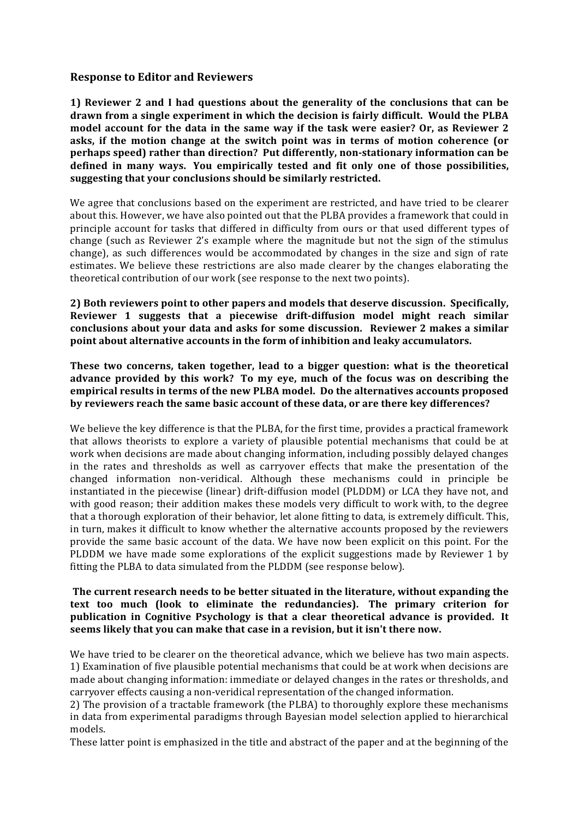### **Response to Editor and Reviewers**

**1)** Reviewer 2 and I had questions about the generality of the conclusions that can be drawn from a single experiment in which the decision is fairly difficult. Would the PLBA model account for the data in the same way if the task were easier? Or, as Reviewer 2 asks, if the motion change at the switch point was in terms of motion coherence (or **perhaps speed)** rather than direction? Put differently, non-stationary information can be defined in many ways. You empirically tested and fit only one of those possibilities, suggesting that your conclusions should be similarly restricted.

We agree that conclusions based on the experiment are restricted, and have tried to be clearer about this. However, we have also pointed out that the PLBA provides a framework that could in principle account for tasks that differed in difficulty from ours or that used different types of change (such as Reviewer 2's example where the magnitude but not the sign of the stimulus change), as such differences would be accommodated by changes in the size and sign of rate estimates. We believe these restrictions are also made clearer by the changes elaborating the theoretical contribution of our work (see response to the next two points).

2) Both reviewers point to other papers and models that deserve discussion. Specifically, Reviewer 1 suggests that a piecewise drift-diffusion model might reach similar conclusions about your data and asks for some discussion. Reviewer 2 makes a similar **point about alternative accounts in the form of inhibition and leaky accumulators.** 

These two concerns, taken together, lead to a bigger question: what is the theoretical advance provided by this work? To my eve, much of the focus was on describing the empirical results in terms of the new PLBA model. Do the alternatives accounts proposed by reviewers reach the same basic account of these data, or are there key differences?

We believe the key difference is that the PLBA, for the first time, provides a practical framework that allows theorists to explore a variety of plausible potential mechanisms that could be at work when decisions are made about changing information, including possibly delayed changes in the rates and thresholds as well as carryover effects that make the presentation of the changed information non-veridical. Although these mechanisms could in principle be instantiated in the piecewise (linear) drift-diffusion model (PLDDM) or LCA they have not, and with good reason; their addition makes these models very difficult to work with, to the degree that a thorough exploration of their behavior, let alone fitting to data, is extremely difficult. This, in turn, makes it difficult to know whether the alternative accounts proposed by the reviewers provide the same basic account of the data. We have now been explicit on this point. For the PLDDM we have made some explorations of the explicit suggestions made by Reviewer 1 by fitting the PLBA to data simulated from the PLDDM (see response below).

### **The current research needs to be better situated in the literature, without expanding the** text too much (look to eliminate the redundancies). The primary criterion for **publication** in Cognitive Psychology is that a clear theoretical advance is provided. It **seems likely that you can make that case in a revision, but it isn't there now.**

We have tried to be clearer on the theoretical advance, which we believe has two main aspects. 1) Examination of five plausible potential mechanisms that could be at work when decisions are made about changing information: immediate or delayed changes in the rates or thresholds, and carryover effects causing a non-veridical representation of the changed information.

2) The provision of a tractable framework (the PLBA) to thoroughly explore these mechanisms in data from experimental paradigms through Bayesian model selection applied to hierarchical models.

These latter point is emphasized in the title and abstract of the paper and at the beginning of the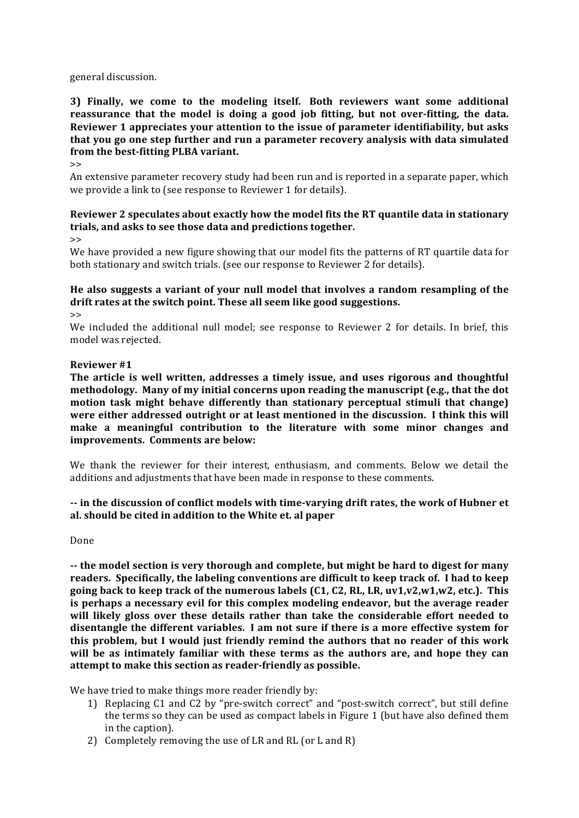#### general discussion.

### **3)** Finally, we come to the modeling itself. Both reviewers want some additional **reassurance that the model is doing a good job fitting, but not over-fitting, the data.** Reviewer 1 appreciates your attention to the issue of parameter identifiability, but asks that you go one step further and run a parameter recovery analysis with data simulated from the best-fitting PLBA variant.

 $\rightarrow$ 

An extensive parameter recovery study had been run and is reported in a separate paper, which we provide a link to (see response to Reviewer 1 for details).

# **Reviewer 2 speculates about exactly how the model fits the RT quantile data in stationary** trials, and asks to see those data and predictions together.

 $\rightarrow$ 

We have provided a new figure showing that our model fits the patterns of RT quartile data for both stationary and switch trials. (see our response to Reviewer 2 for details).

## He also suggests a variant of your null model that involves a random resampling of the drift rates at the switch point. These all seem like good suggestions.

>>

We included the additional null model; see response to Reviewer 2 for details. In brief, this model was rejected.

### **Reviewer #1**

The article is well written, addresses a timely issue, and uses rigorous and thoughtful **methodology.** Many of my initial concerns upon reading the manuscript (e.g., that the dot **motion** task might behave differently than stationary perceptual stimuli that change) were either addressed outright or at least mentioned in the discussion. I think this will make a meaningful contribution to the literature with some minor changes and **improvements.** Comments are below:

We thank the reviewer for their interest, enthusiasm, and comments. Below we detail the additions and adjustments that have been made in response to these comments.

### -- in the discussion of conflict models with time-varying drift rates, the work of Hubner et **al. should be cited in addition to the White et. al paper**

Done

-- the model section is very thorough and complete, but might be hard to digest for many readers. Specifically, the labeling conventions are difficult to keep track of. I had to keep going back to keep track of the numerous labels  $(C1, C2, RL, LR, uv1, v2, w1, w2, etc.).$  This is perhaps a necessary evil for this complex modeling endeavor, but the average reader will likely gloss over these details rather than take the considerable effort needed to disentangle the different variables. I am not sure if there is a more effective system for **this problem, but I would just friendly remind the authors that no reader of this work** will be as intimately familiar with these terms as the authors are, and hope they can attempt to make this section as reader-friendly as possible.

We have tried to make things more reader friendly by:

- 1) Replacing C1 and C2 by "pre-switch correct" and "post-switch correct", but still define the terms so they can be used as compact labels in Figure 1 (but have also defined them in the caption).
- 2) Completely removing the use of LR and RL (or L and R)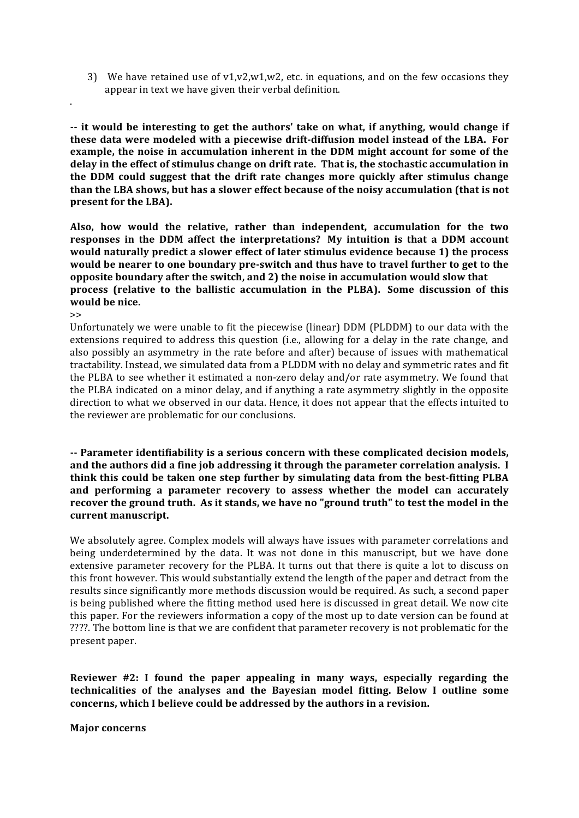3) We have retained use of  $v1$ , $v2$ , $w1$ , $w2$ , etc. in equations, and on the few occasions they appear in text we have given their verbal definition.

-- it would be interesting to get the authors' take on what, if anything, would change if **these data were modeled with a piecewise drift-diffusion model instead of the LBA. For example, the noise in accumulation inherent in the DDM might account for some of the** delay in the effect of stimulus change on drift rate. That is, the stochastic accumulation in **the DDM** could suggest that the drift rate changes more quickly after stimulus change than the LBA shows, but has a slower effect because of the noisy accumulation (that is not **present for the LBA).** 

Also, how would the relative, rather than independent, accumulation for the two responses in the DDM affect the interpretations? My intuition is that a DDM account would naturally predict a slower effect of later stimulus evidence because 1) the process would be nearer to one boundary pre-switch and thus have to travel further to get to the **opposite boundary after the switch, and 2) the noise in accumulation would slow that process** (relative to the ballistic accumulation in the PLBA). Some discussion of this **would** be nice.

 $\rightarrow$ 

.

Unfortunately we were unable to fit the piecewise (linear) DDM (PLDDM) to our data with the extensions required to address this question (i.e., allowing for a delay in the rate change, and also possibly an asymmetry in the rate before and after) because of issues with mathematical tractability. Instead, we simulated data from a PLDDM with no delay and symmetric rates and fit the PLBA to see whether it estimated a non-zero delay and/or rate asymmetry. We found that the PLBA indicated on a minor delay, and if anything a rate asymmetry slightly in the opposite direction to what we observed in our data. Hence, it does not appear that the effects intuited to the reviewer are problematic for our conclusions.

-- Parameter identifiability is a serious concern with these complicated decision models, and the authors did a fine job addressing it through the parameter correlation analysis. I **think this could be taken one step further by simulating data from the best-fitting PLBA** and performing a parameter recovery to assess whether the model can accurately recover the ground truth. As it stands, we have no "ground truth" to test the model in the current manuscript.

We absolutely agree. Complex models will always have issues with parameter correlations and being underdetermined by the data. It was not done in this manuscript, but we have done extensive parameter recovery for the PLBA. It turns out that there is quite a lot to discuss on this front however. This would substantially extend the length of the paper and detract from the results since significantly more methods discussion would be required. As such, a second paper is being published where the fitting method used here is discussed in great detail. We now cite this paper. For the reviewers information a copy of the most up to date version can be found at ????. The bottom line is that we are confident that parameter recovery is not problematic for the present paper.

**Reviewer** #2: I found the paper appealing in many ways, especially regarding the **technicalities** of the analyses and the Bayesian model fitting. Below I outline some concerns, which I believe could be addressed by the authors in a revision.

**Major** concerns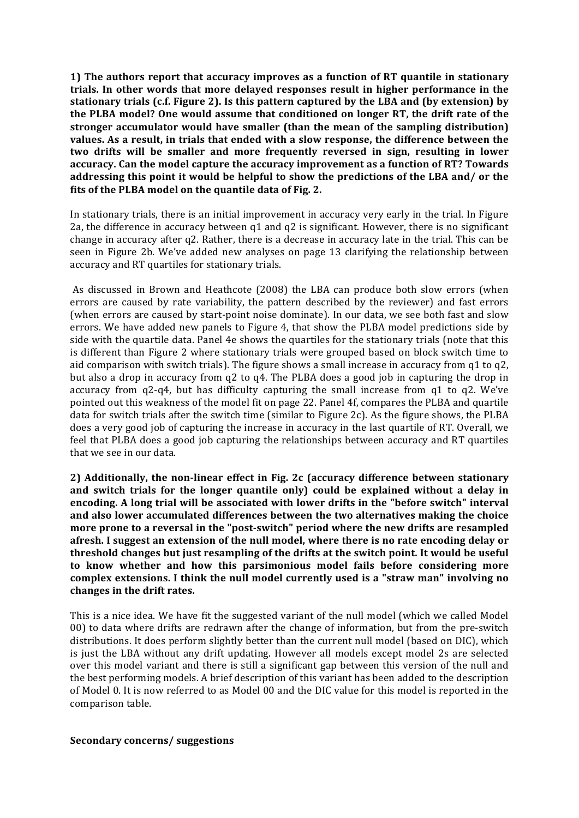**1)** The authors report that accuracy improves as a function of RT quantile in stationary trials. In other words that more delayed responses result in higher performance in the **stationary trials (c.f. Figure 2).** Is this pattern captured by the LBA and (by extension) by **the PLBA model? One would assume that conditioned on longer RT, the drift rate of the stronger** accumulator would have smaller (than the mean of the sampling distribution) values. As a result, in trials that ended with a slow response, the difference between the two drifts will be smaller and more frequently reversed in sign, resulting in lower accuracy. Can the model capture the accuracy improvement as a function of RT? Towards addressing this point it would be helpful to show the predictions of the LBA and/ or the fits of the PLBA model on the quantile data of Fig. 2.

In stationary trials, there is an initial improvement in accuracy very early in the trial. In Figure 2a, the difference in accuracy between  $q1$  and  $q2$  is significant. However, there is no significant change in accuracy after q2. Rather, there is a decrease in accuracy late in the trial. This can be seen in Figure 2b. We've added new analyses on page 13 clarifying the relationship between accuracy and RT quartiles for stationary trials.

As discussed in Brown and Heathcote (2008) the LBA can produce both slow errors (when errors are caused by rate variability, the pattern described by the reviewer) and fast errors (when errors are caused by start-point noise dominate). In our data, we see both fast and slow errors. We have added new panels to Figure 4, that show the PLBA model predictions side by side with the quartile data. Panel 4e shows the quartiles for the stationary trials (note that this is different than Figure 2 where stationary trials were grouped based on block switch time to aid comparison with switch trials). The figure shows a small increase in accuracy from  $q1$  to  $q2$ , but also a drop in accuracy from q2 to q4. The PLBA does a good job in capturing the drop in accuracy from  $q2-q4$ , but has difficulty capturing the small increase from  $q1$  to  $q2$ . We've pointed out this weakness of the model fit on page 22. Panel 4f, compares the PLBA and quartile data for switch trials after the switch time (similar to Figure 2c). As the figure shows, the PLBA does a very good job of capturing the increase in accuracy in the last quartile of RT. Overall, we feel that PLBA does a good job capturing the relationships between accuracy and RT quartiles that we see in our data.

**2)** Additionally, the non-linear effect in Fig. 2c (accuracy difference between stationary and switch trials for the longer quantile only) could be explained without a delay in encoding. A long trial will be associated with lower drifts in the "before switch" interval and also lower accumulated differences between the two alternatives making the choice more prone to a reversal in the "post-switch" period where the new drifts are resampled afresh. I suggest an extension of the null model, where there is no rate encoding delay or **threshold changes but just resampling of the drifts at the switch point. It would be useful** to know whether and how this parsimonious model fails before considering more complex extensions. I think the null model currently used is a "straw man" involving no changes in the drift rates.

This is a nice idea. We have fit the suggested variant of the null model (which we called Model 00) to data where drifts are redrawn after the change of information, but from the pre-switch distributions. It does perform slightly better than the current null model (based on DIC), which is just the LBA without any drift updating. However all models except model 2s are selected over this model variant and there is still a significant gap between this version of the null and the best performing models. A brief description of this variant has been added to the description of Model 0. It is now referred to as Model 00 and the DIC value for this model is reported in the comparison table.

#### **Secondary concerns/ suggestions**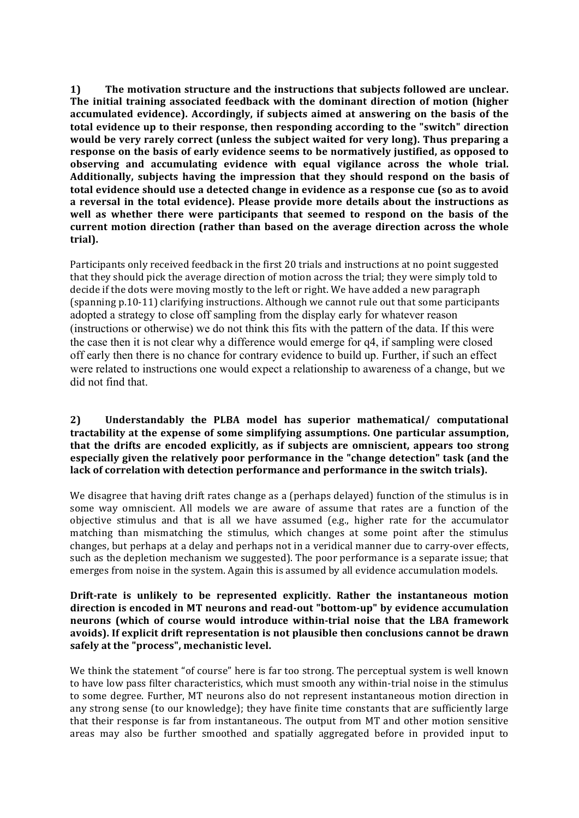**1)** The motivation structure and the instructions that subjects followed are unclear. The initial training associated feedback with the dominant direction of motion (higher accumulated evidence). Accordingly, if subjects aimed at answering on the basis of the **total evidence up to their response, then responding according to the "switch" direction** would be very rarely correct (unless the subject waited for very long). Thus preparing a **response on the basis of early evidence seems to be normatively justified, as opposed to** observing and accumulating evidence with equal vigilance across the whole trial. Additionally, subjects having the impression that they should respond on the basis of total evidence should use a detected change in evidence as a response cue (so as to avoid a reversal in the total evidence). Please provide more details about the instructions as well as whether there were participants that seemed to respond on the basis of the current motion direction (rather than based on the average direction across the whole **trial).**

Participants only received feedback in the first 20 trials and instructions at no point suggested that they should pick the average direction of motion across the trial; they were simply told to decide if the dots were moving mostly to the left or right. We have added a new paragraph (spanning p.10-11) clarifying instructions. Although we cannot rule out that some participants adopted a strategy to close off sampling from the display early for whatever reason (instructions or otherwise) we do not think this fits with the pattern of the data. If this were the case then it is not clear why a difference would emerge for q4, if sampling were closed off early then there is no chance for contrary evidence to build up. Further, if such an effect were related to instructions one would expect a relationship to awareness of a change, but we did not find that.

### **2) Understandably the PLBA model has superior mathematical/ computational** tractability at the expense of some simplifying assumptions. One particular assumption, that the drifts are encoded explicitly, as if subjects are omniscient, appears too strong **especially given the relatively poor performance in the "change detection" task (and the** lack of correlation with detection performance and performance in the switch trials).

We disagree that having drift rates change as a (perhaps delayed) function of the stimulus is in some way omniscient. All models we are aware of assume that rates are a function of the objective stimulus and that is all we have assumed  $(e.g., hij$ her rate for the accumulator matching than mismatching the stimulus, which changes at some point after the stimulus changes, but perhaps at a delay and perhaps not in a veridical manner due to carry-over effects, such as the depletion mechanism we suggested). The poor performance is a separate issue; that emerges from noise in the system. Again this is assumed by all evidence accumulation models.

### Drift-rate is unlikely to be represented explicitly. Rather the instantaneous motion direction is encoded in MT neurons and read-out "bottom-up" by evidence accumulation neurons (which of course would introduce within-trial noise that the LBA framework avoids). If explicit drift representation is not plausible then conclusions cannot be drawn safely at the "process", mechanistic level.

We think the statement "of course" here is far too strong. The perceptual system is well known to have low pass filter characteristics, which must smooth any within-trial noise in the stimulus to some degree. Further, MT neurons also do not represent instantaneous motion direction in any strong sense (to our knowledge); they have finite time constants that are sufficiently large that their response is far from instantaneous. The output from MT and other motion sensitive areas may also be further smoothed and spatially aggregated before in provided input to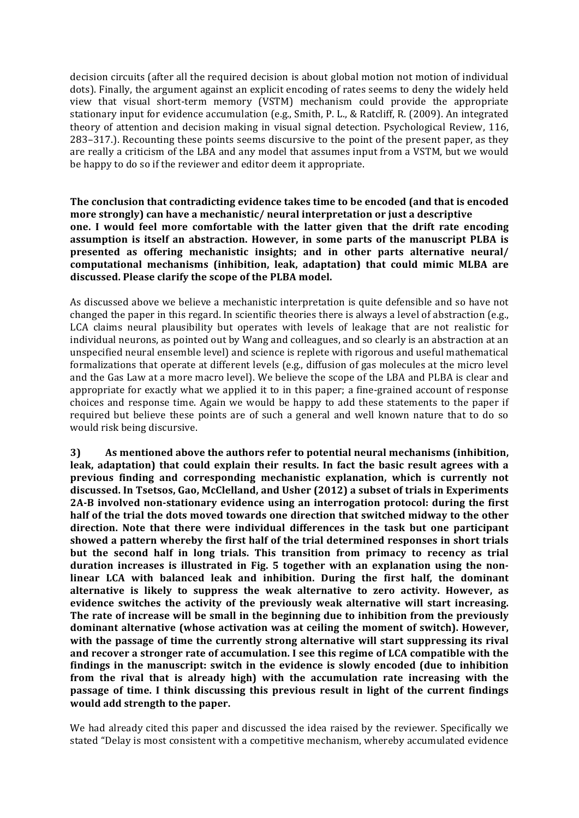decision circuits (after all the required decision is about global motion not motion of individual dots). Finally, the argument against an explicit encoding of rates seems to deny the widely held view that visual short-term memory (VSTM) mechanism could provide the appropriate stationary input for evidence accumulation (e.g., Smith, P. L., & Ratcliff, R. (2009). An integrated theory of attention and decision making in visual signal detection. Psychological Review, 116, 283–317.). Recounting these points seems discursive to the point of the present paper, as they are really a criticism of the LBA and any model that assumes input from a VSTM, but we would be happy to do so if the reviewer and editor deem it appropriate.

**The conclusion that contradicting evidence takes time to be encoded (and that is encoded more strongly)** can have a mechanistic/ neural interpretation or just a descriptive **one.** I would feel more comfortable with the latter given that the drift rate encoding assumption is itself an abstraction. However, in some parts of the manuscript PLBA is **presented** as offering mechanistic insights; and in other parts alternative neural/ computational mechanisms (inhibition, leak, adaptation) that could mimic MLBA are discussed. Please clarify the scope of the PLBA model.

As discussed above we believe a mechanistic interpretation is quite defensible and so have not changed the paper in this regard. In scientific theories there is always a level of abstraction (e.g., LCA claims neural plausibility but operates with levels of leakage that are not realistic for individual neurons, as pointed out by Wang and colleagues, and so clearly is an abstraction at an unspecified neural ensemble level) and science is replete with rigorous and useful mathematical formalizations that operate at different levels (e.g., diffusion of gas molecules at the micro level and the Gas Law at a more macro level). We believe the scope of the LBA and PLBA is clear and appropriate for exactly what we applied it to in this paper; a fine-grained account of response choices and response time. Again we would be happy to add these statements to the paper if required but believe these points are of such a general and well known nature that to do so would risk being discursive.

**3)** As mentioned above the authors refer to potential neural mechanisms (inhibition, **leak, adaptation)** that could explain their results. In fact the basic result agrees with a **previous finding and corresponding mechanistic explanation, which is currently not** discussed. In Tsetsos, Gao, McClelland, and Usher (2012) a subset of trials in Experiments 2A-B involved non-stationary evidence using an interrogation protocol: during the first half of the trial the dots moved towards one direction that switched midway to the other direction. Note that there were individual differences in the task but one participant showed a pattern whereby the first half of the trial determined responses in short trials **but** the second half in long trials. This transition from primacy to recency as trial duration increases is illustrated in Fig. 5 together with an explanation using the nonlinear LCA with balanced leak and inhibition. During the first half, the dominant alternative is likely to suppress the weak alternative to zero activity. However, as evidence switches the activity of the previously weak alternative will start increasing. The rate of increase will be small in the beginning due to inhibition from the previously **dominant alternative (whose activation was at ceiling the moment of switch). However,** with the passage of time the currently strong alternative will start suppressing its rival and recover a stronger rate of accumulation. I see this regime of LCA compatible with the **findings** in the manuscript: switch in the evidence is slowly encoded (due to inhibition **from** the rival that is already high) with the accumulation rate increasing with the **passage** of time. I think discussing this previous result in light of the current findings **would add strength to the paper.**

We had already cited this paper and discussed the idea raised by the reviewer. Specifically we stated "Delay is most consistent with a competitive mechanism, whereby accumulated evidence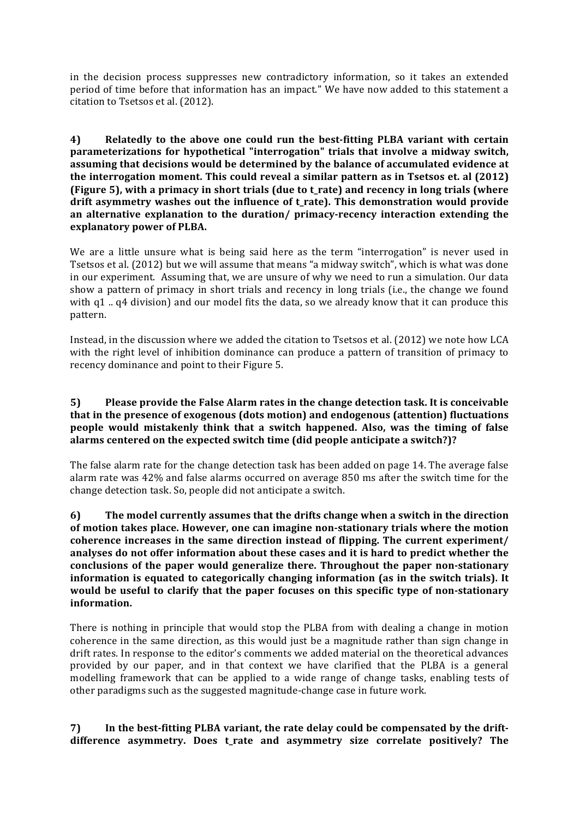in the decision process suppresses new contradictory information, so it takes an extended period of time before that information has an impact." We have now added to this statement a citation to Tsetsos et al. (2012).

**4) Relatedly to the above one could run the best-fitting PLBA variant with certain** parameterizations for hypothetical "interrogation" trials that involve a midway switch, assuming that decisions would be determined by the balance of accumulated evidence at the interrogation moment. This could reveal a similar pattern as in Tsetsos et. al (2012) **(Figure 5), with a primacy in short trials (due to t\_rate) and recency in long trials (where** drift asymmetry washes out the influence of t rate). This demonstration would provide an alternative explanation to the duration/ primacy-recency interaction extending the explanatory power of PLBA.

We are a little unsure what is being said here as the term "interrogation" is never used in Tsetsos et al. (2012) but we will assume that means "a midway switch", which is what was done in our experiment. Assuming that, we are unsure of why we need to run a simulation. Our data show a pattern of primacy in short trials and recency in long trials (i.e., the change we found with  $q1$ ..  $q4$  division) and our model fits the data, so we already know that it can produce this pattern. 

Instead, in the discussion where we added the citation to Tsetsos et al. (2012) we note how LCA with the right level of inhibition dominance can produce a pattern of transition of primacy to recency dominance and point to their Figure 5.

### **5)** Please provide the False Alarm rates in the change detection task. It is conceivable that in the presence of exogenous (dots motion) and endogenous (attention) fluctuations **people** would mistakenly think that a switch happened. Also, was the timing of false alarms centered on the expected switch time (did people anticipate a switch?)?

The false alarm rate for the change detection task has been added on page 14. The average false alarm rate was 42% and false alarms occurred on average 850 ms after the switch time for the change detection task. So, people did not anticipate a switch.

**6)** The model currently assumes that the drifts change when a switch in the direction of motion takes place. However, one can imagine non-stationary trials where the motion coherence increases in the same direction instead of flipping. The current experiment/ analyses do not offer information about these cases and it is hard to predict whether the conclusions of the paper would generalize there. Throughout the paper non-stationary **information** is equated to categorically changing information (as in the switch trials). It would be useful to clarify that the paper focuses on this specific type of non-stationary **information.**

There is nothing in principle that would stop the PLBA from with dealing a change in motion coherence in the same direction, as this would just be a magnitude rather than sign change in drift rates. In response to the editor's comments we added material on the theoretical advances provided by our paper, and in that context we have clarified that the PLBA is a general modelling framework that can be applied to a wide range of change tasks, enabling tests of other paradigms such as the suggested magnitude-change case in future work.

7) In the best-fitting PLBA variant, the rate delay could be compensated by the driftdifference asymmetry. Does t\_rate and asymmetry size correlate positively? The